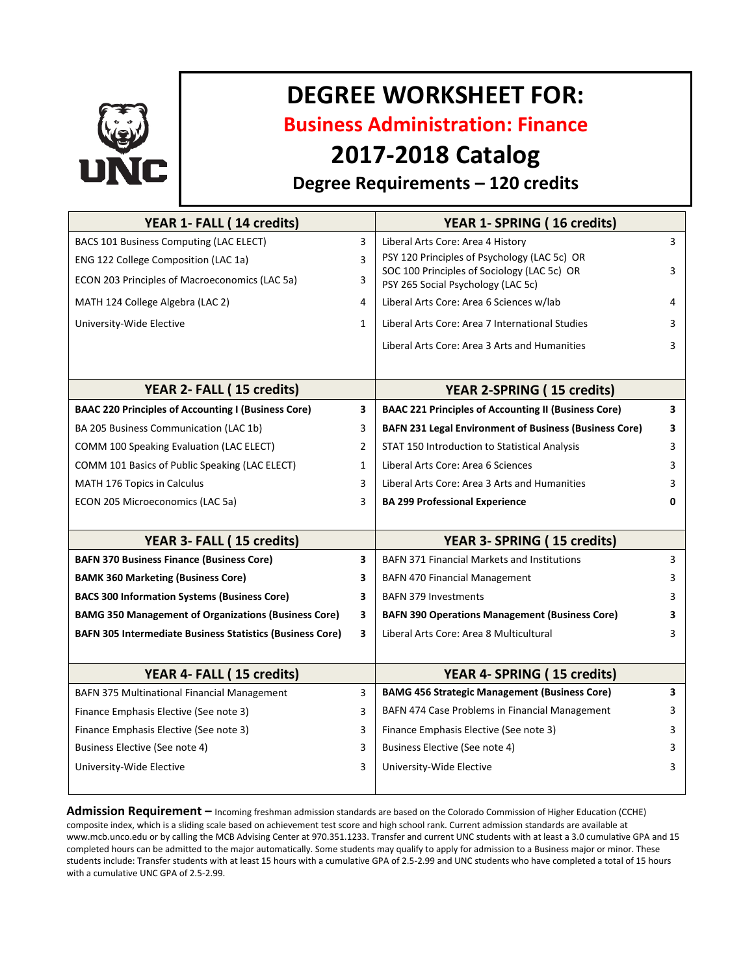

# **DEGREE WORKSHEET FOR:**

**Business Administration: Finance**

## **2017-2018 Catalog**

### **Degree Requirements – 120 credits**

| YEAR 1- FALL (14 credits)                                        |              | YEAR 1- SPRING (16 credits)                                                       |   |
|------------------------------------------------------------------|--------------|-----------------------------------------------------------------------------------|---|
| BACS 101 Business Computing (LAC ELECT)                          | 3            | Liberal Arts Core: Area 4 History                                                 | 3 |
| ENG 122 College Composition (LAC 1a)                             | 3            | PSY 120 Principles of Psychology (LAC 5c) OR                                      |   |
| ECON 203 Principles of Macroeconomics (LAC 5a)                   | 3            | SOC 100 Principles of Sociology (LAC 5c) OR<br>PSY 265 Social Psychology (LAC 5c) | 3 |
| MATH 124 College Algebra (LAC 2)                                 | 4            | Liberal Arts Core: Area 6 Sciences w/lab                                          | 4 |
| University-Wide Elective                                         | $\mathbf{1}$ | Liberal Arts Core: Area 7 International Studies                                   | 3 |
|                                                                  |              | Liberal Arts Core: Area 3 Arts and Humanities                                     | 3 |
|                                                                  |              |                                                                                   |   |
| YEAR 2- FALL (15 credits)                                        |              | <b>YEAR 2-SPRING (15 credits)</b>                                                 |   |
| <b>BAAC 220 Principles of Accounting I (Business Core)</b>       | 3            | <b>BAAC 221 Principles of Accounting II (Business Core)</b>                       | 3 |
| BA 205 Business Communication (LAC 1b)                           | 3            | <b>BAFN 231 Legal Environment of Business (Business Core)</b>                     | 3 |
| COMM 100 Speaking Evaluation (LAC ELECT)                         | 2            | STAT 150 Introduction to Statistical Analysis                                     | 3 |
| COMM 101 Basics of Public Speaking (LAC ELECT)                   | $\mathbf{1}$ | Liberal Arts Core: Area 6 Sciences                                                | 3 |
| <b>MATH 176 Topics in Calculus</b>                               | 3            | Liberal Arts Core: Area 3 Arts and Humanities                                     | 3 |
| ECON 205 Microeconomics (LAC 5a)                                 | 3            | <b>BA 299 Professional Experience</b>                                             | 0 |
|                                                                  |              |                                                                                   |   |
| YEAR 3- FALL (15 credits)                                        |              | YEAR 3- SPRING (15 credits)                                                       |   |
| <b>BAFN 370 Business Finance (Business Core)</b>                 | 3            | <b>BAFN 371 Financial Markets and Institutions</b>                                | 3 |
| <b>BAMK 360 Marketing (Business Core)</b>                        | 3            | <b>BAFN 470 Financial Management</b>                                              | 3 |
| <b>BACS 300 Information Systems (Business Core)</b>              | 3            | <b>BAFN 379 Investments</b>                                                       | 3 |
| <b>BAMG 350 Management of Organizations (Business Core)</b>      | 3            | <b>BAFN 390 Operations Management (Business Core)</b>                             | 3 |
| <b>BAFN 305 Intermediate Business Statistics (Business Core)</b> | 3            | Liberal Arts Core: Area 8 Multicultural                                           | 3 |
|                                                                  |              |                                                                                   |   |
| YEAR 4- FALL (15 credits)                                        |              | YEAR 4- SPRING (15 credits)                                                       |   |
| <b>BAFN 375 Multinational Financial Management</b>               | 3            | <b>BAMG 456 Strategic Management (Business Core)</b>                              | 3 |
| Finance Emphasis Elective (See note 3)                           | 3            | BAFN 474 Case Problems in Financial Management                                    | 3 |
| Finance Emphasis Elective (See note 3)                           | 3            | Finance Emphasis Elective (See note 3)                                            | 3 |
| Business Elective (See note 4)                                   | 3            | Business Elective (See note 4)                                                    | 3 |
| University-Wide Elective                                         | 3            | University-Wide Elective                                                          | 3 |
|                                                                  |              |                                                                                   |   |

**Admission Requirement –** Incoming freshman admission standards are based on the Colorado Commission of Higher Education (CCHE) composite index, which is a sliding scale based on achievement test score and high school rank. Current admission standards are available at www.mcb.unco.edu or by calling the MCB Advising Center at 970.351.1233. Transfer and current UNC students with at least a 3.0 cumulative GPA and 15 completed hours can be admitted to the major automatically. Some students may qualify to apply for admission to a Business major or minor. These students include: Transfer students with at least 15 hours with a cumulative GPA of 2.5-2.99 and UNC students who have completed a total of 15 hours with a cumulative UNC GPA of 2.5-2.99.